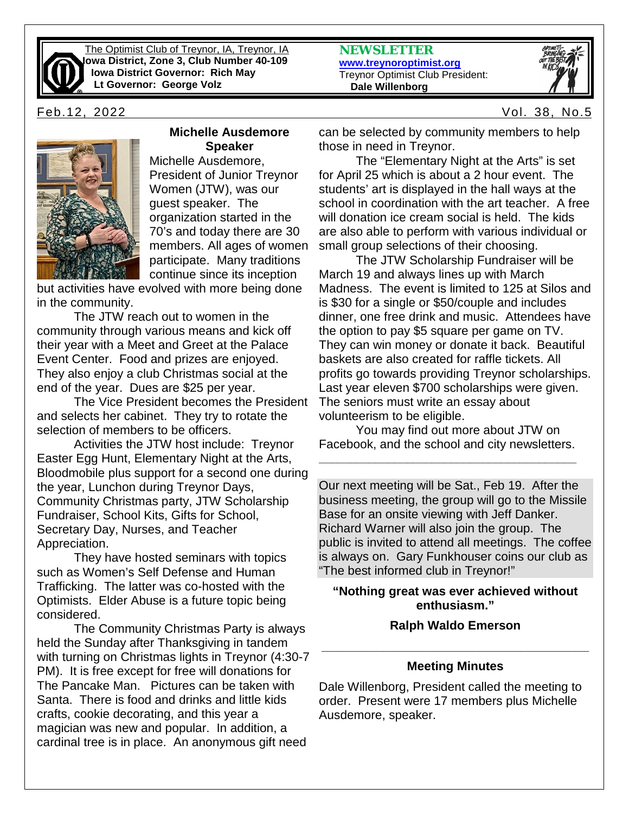

The Optimist Club of Treynor, IA, Treynor, IA **Iowa District, Zone 3, Club Number 40-109 Iowa District Governor: Rich May Lt Governor: George Volz**



#### **Michelle Ausdemore Speaker**

Michelle Ausdemore, President of Junior Treynor Women (JTW), was our guest speaker. The organization started in the 70's and today there are 30 members. All ages of women participate. Many traditions continue since its inception

but activities have evolved with more being done in the community.

The JTW reach out to women in the community through various means and kick off their year with a Meet and Greet at the Palace Event Center. Food and prizes are enjoyed. They also enjoy a club Christmas social at the end of the year. Dues are \$25 per year.

The Vice President becomes the President and selects her cabinet. They try to rotate the selection of members to be officers.

Activities the JTW host include: Treynor Easter Egg Hunt, Elementary Night at the Arts, Bloodmobile plus support for a second one during the year, Lunchon during Treynor Days, Community Christmas party, JTW Scholarship Fundraiser, School Kits, Gifts for School, Secretary Day, Nurses, and Teacher Appreciation.

They have hosted seminars with topics such as Women's Self Defense and Human Trafficking. The latter was co-hosted with the Optimists. Elder Abuse is a future topic being considered.

The Community Christmas Party is always held the Sunday after Thanksgiving in tandem with turning on Christmas lights in Treynor (4:30-7 PM). It is free except for free will donations for The Pancake Man. Pictures can be taken with Santa. There is food and drinks and little kids crafts, cookie decorating, and this year a magician was new and popular. In addition, a cardinal tree is in place. An anonymous gift need

**NEWSLETTER [www.treynoroptimist.org](http://www.treynoroptimist.org/)** Treynor Optimist Club President:  **Dale Willenborg**



Feb.12, 2022 Vol. 38, No.5

can be selected by community members to help those in need in Treynor.

The "Elementary Night at the Arts" is set for April 25 which is about a 2 hour event. The students' art is displayed in the hall ways at the school in coordination with the art teacher. A free will donation ice cream social is held. The kids are also able to perform with various individual or small group selections of their choosing.

The JTW Scholarship Fundraiser will be March 19 and always lines up with March Madness. The event is limited to 125 at Silos and is \$30 for a single or \$50/couple and includes dinner, one free drink and music. Attendees have the option to pay \$5 square per game on TV. They can win money or donate it back. Beautiful baskets are also created for raffle tickets. All profits go towards providing Treynor scholarships. Last year eleven \$700 scholarships were given. The seniors must write an essay about volunteerism to be eligible.

You may find out more about JTW on Facebook, and the school and city newsletters.

**\_\_\_\_\_\_\_\_\_\_\_\_\_\_\_\_\_\_\_\_\_\_\_\_\_\_\_\_\_\_\_\_\_\_\_\_\_\_\_\_\_**

Our next meeting will be Sat., Feb 19. After the business meeting, the group will go to the Missile Base for an onsite viewing with Jeff Danker. Richard Warner will also join the group. The public is invited to attend all meetings. The coffee is always on. Gary Funkhouser coins our club as "The best informed club in Treynor!"

#### **"Nothing great was ever achieved without enthusiasm."**

#### **Ralph Waldo Emerson**

# **\_\_\_\_\_\_\_\_\_\_\_\_\_\_\_\_\_\_\_\_\_\_\_\_\_\_\_\_\_\_\_\_\_\_\_\_\_\_\_ Meeting Minutes**

Dale Willenborg, President called the meeting to order. Present were 17 members plus Michelle Ausdemore, speaker.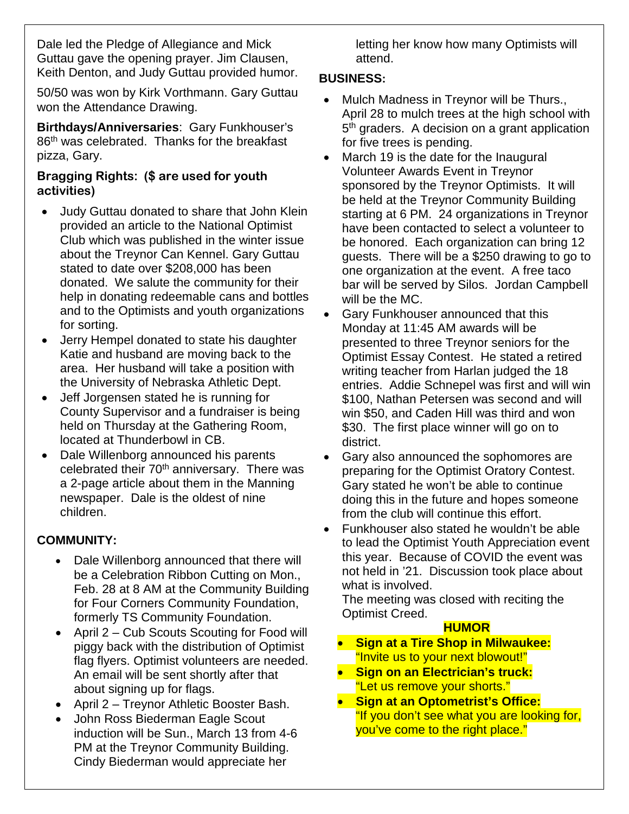Dale led the Pledge of Allegiance and Mick Guttau gave the opening prayer. Jim Clausen, Keith Denton, and Judy Guttau provided humor.

50/50 was won by Kirk Vorthmann. Gary Guttau won the Attendance Drawing.

**Birthdays/Anniversaries**: Gary Funkhouser's 86<sup>th</sup> was celebrated. Thanks for the breakfast pizza, Gary.

## **Bragging Rights: (\$ are used for youth activities)**

- Judy Guttau donated to share that John Klein provided an article to the National Optimist Club which was published in the winter issue about the Treynor Can Kennel. Gary Guttau stated to date over \$208,000 has been donated. We salute the community for their help in donating redeemable cans and bottles and to the Optimists and youth organizations for sorting.
- Jerry Hempel donated to state his daughter Katie and husband are moving back to the area. Her husband will take a position with the University of Nebraska Athletic Dept.
- Jeff Jorgensen stated he is running for County Supervisor and a fundraiser is being held on Thursday at the Gathering Room, located at Thunderbowl in CB.
- Dale Willenborg announced his parents celebrated their  $70<sup>th</sup>$  anniversary. There was a 2-page article about them in the Manning newspaper. Dale is the oldest of nine children.

# **COMMUNITY:**

- Dale Willenborg announced that there will be a Celebration Ribbon Cutting on Mon., Feb. 28 at 8 AM at the Community Building for Four Corners Community Foundation, formerly TS Community Foundation.
- April 2 Cub Scouts Scouting for Food will piggy back with the distribution of Optimist flag flyers. Optimist volunteers are needed. An email will be sent shortly after that about signing up for flags.
- April 2 Treynor Athletic Booster Bash.
- John Ross Biederman Eagle Scout induction will be Sun., March 13 from 4-6 PM at the Treynor Community Building. Cindy Biederman would appreciate her

letting her know how many Optimists will attend.

## **BUSINESS:**

- Mulch Madness in Treynor will be Thurs., April 28 to mulch trees at the high school with 5<sup>th</sup> graders. A decision on a grant application for five trees is pending.
- March 19 is the date for the Inaugural Volunteer Awards Event in Treynor sponsored by the Treynor Optimists. It will be held at the Treynor Community Building starting at 6 PM. 24 organizations in Treynor have been contacted to select a volunteer to be honored. Each organization can bring 12 guests. There will be a \$250 drawing to go to one organization at the event. A free taco bar will be served by Silos. Jordan Campbell will be the MC.
- Gary Funkhouser announced that this Monday at 11:45 AM awards will be presented to three Treynor seniors for the Optimist Essay Contest. He stated a retired writing teacher from Harlan judged the 18 entries. Addie Schnepel was first and will win \$100, Nathan Petersen was second and will win \$50, and Caden Hill was third and won \$30. The first place winner will go on to district.
- Gary also announced the sophomores are preparing for the Optimist Oratory Contest. Gary stated he won't be able to continue doing this in the future and hopes someone from the club will continue this effort.
- Funkhouser also stated he wouldn't be able to lead the Optimist Youth Appreciation event this year. Because of COVID the event was not held in '21. Discussion took place about what is involved.

The meeting was closed with reciting the Optimist Creed.

### **HUMOR**

- **Sign at a Tire Shop in Milwaukee:** "Invite us to your next blowout!"
- **Sign on an Electrician's truck:** "Let us remove your shorts."
- **Sign at an Optometrist's Office:** "If you don't see what you are looking for, you've come to the right place."